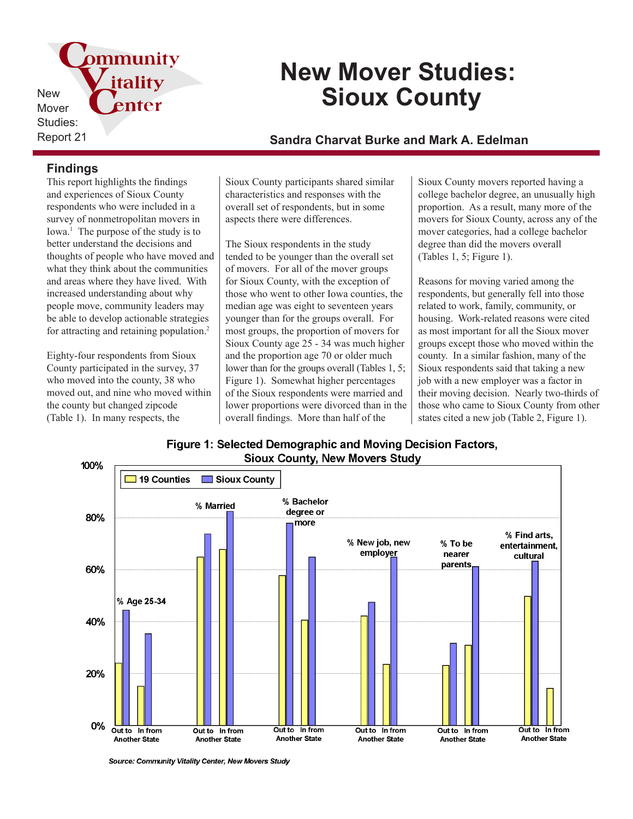pmmunity *itality* New enter Mover Studies:

# **New Mover Studies: Sioux County**

# Report 21 **Sandra Charvat Burke and Mark A. Edelman**

### **Findings**

This report highlights the findings and experiences of Sioux County respondents who were included in a survey of nonmetropolitan movers in Iowa.<sup>1</sup> The purpose of the study is to better understand the decisions and thoughts of people who have moved and what they think about the communities and areas where they have lived. With increased understanding about why people move, community leaders may be able to develop actionable strategies for attracting and retaining population.<sup>2</sup>

Eighty-four respondents from Sioux County participated in the survey, 37 who moved into the county, 38 who moved out, and nine who moved within the county but changed zipcode (Table 1). In many respects, the

Sioux County participants shared similar characteristics and responses with the overall set of respondents, but in some aspects there were differences.

The Sioux respondents in the study tended to be younger than the overall set of movers. For all of the mover groups for Sioux County, with the exception of those who went to other Iowa counties, the median age was eight to seventeen years younger than for the groups overall. For most groups, the proportion of movers for Sioux County age 25 - 34 was much higher and the proportion age 70 or older much lower than for the groups overall (Tables 1, 5; Figure 1). Somewhat higher percentages of the Sioux respondents were married and lower proportions were divorced than in the overall findings. More than half of the

Sioux County movers reported having a college bachelor degree, an unusually high proportion. As a result, many more of the movers for Sioux County, across any of the mover categories, had a college bachelor degree than did the movers overall (Tables 1, 5; Figure 1).

Reasons for moving varied among the respondents, but generally fell into those related to work, family, community, or housing. Work-related reasons were cited as most important for all the Sioux mover groups except those who moved within the county. In a similar fashion, many of the Sioux respondents said that taking a new job with a new employer was a factor in their moving decision. Nearly two-thirds of those who came to Sioux County from other states cited a new job (Table 2, Figure 1).





Source: Community Vitality Center, New Movers Study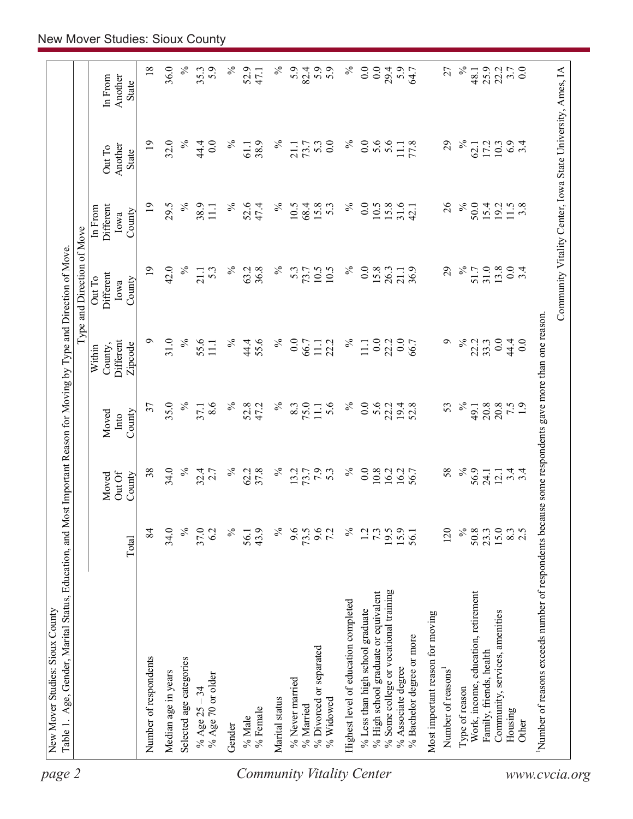| $\%$<br>0.0<br>0.0<br>$\%$<br>82.4<br>5.9<br>$29.4$<br>$5.9$<br>$64.7$<br>$\%$<br>25.9<br>$3.7$ 0.0<br>5.9<br>27<br>22.2<br>48.1<br>In From<br>Another<br><b>State</b><br>$\%$<br>$\%$<br>$\%$<br>0.0<br>5.6<br>$\overline{19}$<br>32.0<br>44.4<br>0.0<br>℅<br>38.9<br>5.3<br>77.8<br>29<br>$\%$<br>6.9<br>73.7<br>17.2<br>10.3<br>$\ddot{3}$ .<br>61.1<br>21.1<br>62.1<br>$\Xi$<br>Another<br>Out To<br>State<br>$\%$<br>38.9<br>52.6<br>$\%$<br>0.0<br>31.6<br>26<br>$\%$<br>50.0<br>$\overline{19}$<br>29.5<br>$\%$<br>47.4<br>$\%$<br>10.5<br>68.4<br>15.8<br>10.5<br>15.8<br>15.4<br>11.5<br>3.8<br>Different<br>5.3<br>42.1<br>19.2<br>11.1<br>In From<br>County<br>lowa<br>$\overline{19}$<br>42.0<br>$\%$<br>$\%$<br>$\%$<br>10.5<br>$\%$<br>0.0<br>29<br>$\%$<br>31.0<br>13.8<br>$\overline{0}$ .<br>3.4<br>63.2<br>36.8<br>5.3<br>10.5<br>15.8<br>36.9<br>51.7<br>5.3<br>73.7<br>26.3<br>21.1<br>21.1<br>Different<br>Out To<br>County<br>Iowa<br>$\%$<br>$\%$<br>$\%$<br>44.4<br>٩<br>0.0<br>$\circ$<br>31.0<br>55.6<br>℅<br>55.6<br>$\overline{0.0}$<br>$\%$<br>0.0<br>0.0<br>Different<br>66.7<br>22.2<br>11.1<br>22.2<br>66.7<br>22.2<br>33.3<br>44.4<br>0.0<br>$\Xi$<br>$\Xi$<br>County,<br>Zipcode<br>Within<br>$\%$<br>$\%$<br>35.0<br>8.6<br>$\%$<br>52.8<br>$\%$<br>75.0<br>5.6<br>$\%$<br>0.0<br>5.6<br>$\frac{20.8}{7.5}$<br>37<br>47.2<br>$8.\overline{3}$<br>19.4<br>52.8<br>53<br>20.8<br>37.1<br>22.2<br>111<br>49.1<br>Moved<br>County<br>Into<br>$\%$<br>$\%$<br>34.0<br>$\%$<br>$\%$<br>7.9<br>0.0<br>10.8<br>38<br>37.8<br>16.2<br>16.2<br>58<br>$\%$<br>56.9<br>32.4<br>62.2<br>13.7<br>53<br>56.7<br>2.7<br>$\frac{4}{4}$<br>24.1<br>12.1<br>Out Of<br>Moved<br>County<br>$\%$<br>$\%$<br>$\%$<br>$23.3$<br>$15.3$<br>$2.5$<br>84<br>34.0<br>37.0<br>$\%$<br>43.9<br>9.6<br>73.5<br>9.6<br>$\%$<br>120<br>50.8<br>6.2<br>1.2<br>7.3<br>$19.5$<br>$15.9$<br>$56.1$<br>56.1<br>Total<br>% Some college or vocational training<br>% High school graduate or equivalent<br>Work, income, education, retirement<br>Highest level of education completed<br>% Less than high school graduate<br>Community, services, amenities<br>Most important reason for moving<br>% Bachelor degree or more<br>% Divorced or separated<br>Family, friends, health<br>Number of respondents<br>Selected age categories<br>% Associate degree<br>Number of reasons <sup>1</sup><br>Median age in years<br>% Age 70 or older<br>% Never married<br>Type of reason<br>% Age $25 - 34$<br>Marital status<br>% Widowed<br>% Married<br>% Female<br>Housing<br>% Male<br>Other<br>Gender | use some respondents gave more than one reason.<br>Number of reasons exceeds number of respondents beca |  |  | Type and Direction of Move |  |              |
|------------------------------------------------------------------------------------------------------------------------------------------------------------------------------------------------------------------------------------------------------------------------------------------------------------------------------------------------------------------------------------------------------------------------------------------------------------------------------------------------------------------------------------------------------------------------------------------------------------------------------------------------------------------------------------------------------------------------------------------------------------------------------------------------------------------------------------------------------------------------------------------------------------------------------------------------------------------------------------------------------------------------------------------------------------------------------------------------------------------------------------------------------------------------------------------------------------------------------------------------------------------------------------------------------------------------------------------------------------------------------------------------------------------------------------------------------------------------------------------------------------------------------------------------------------------------------------------------------------------------------------------------------------------------------------------------------------------------------------------------------------------------------------------------------------------------------------------------------------------------------------------------------------------------------------------------------------------------------------------------------------------------------------------------------------------------------------------------------------------------------------------------------------------------------------------------------------------------------------------------------------------------------------------------------------------------------------------------------------------------------------------------------------------------------------------------------------------------------------------------------------------------------------------------------------------------------------------------|---------------------------------------------------------------------------------------------------------|--|--|----------------------------|--|--------------|
|                                                                                                                                                                                                                                                                                                                                                                                                                                                                                                                                                                                                                                                                                                                                                                                                                                                                                                                                                                                                                                                                                                                                                                                                                                                                                                                                                                                                                                                                                                                                                                                                                                                                                                                                                                                                                                                                                                                                                                                                                                                                                                                                                                                                                                                                                                                                                                                                                                                                                                                                                                                                |                                                                                                         |  |  |                            |  |              |
|                                                                                                                                                                                                                                                                                                                                                                                                                                                                                                                                                                                                                                                                                                                                                                                                                                                                                                                                                                                                                                                                                                                                                                                                                                                                                                                                                                                                                                                                                                                                                                                                                                                                                                                                                                                                                                                                                                                                                                                                                                                                                                                                                                                                                                                                                                                                                                                                                                                                                                                                                                                                |                                                                                                         |  |  |                            |  | 18           |
|                                                                                                                                                                                                                                                                                                                                                                                                                                                                                                                                                                                                                                                                                                                                                                                                                                                                                                                                                                                                                                                                                                                                                                                                                                                                                                                                                                                                                                                                                                                                                                                                                                                                                                                                                                                                                                                                                                                                                                                                                                                                                                                                                                                                                                                                                                                                                                                                                                                                                                                                                                                                |                                                                                                         |  |  |                            |  | 36.0         |
|                                                                                                                                                                                                                                                                                                                                                                                                                                                                                                                                                                                                                                                                                                                                                                                                                                                                                                                                                                                                                                                                                                                                                                                                                                                                                                                                                                                                                                                                                                                                                                                                                                                                                                                                                                                                                                                                                                                                                                                                                                                                                                                                                                                                                                                                                                                                                                                                                                                                                                                                                                                                |                                                                                                         |  |  |                            |  | $\%$         |
|                                                                                                                                                                                                                                                                                                                                                                                                                                                                                                                                                                                                                                                                                                                                                                                                                                                                                                                                                                                                                                                                                                                                                                                                                                                                                                                                                                                                                                                                                                                                                                                                                                                                                                                                                                                                                                                                                                                                                                                                                                                                                                                                                                                                                                                                                                                                                                                                                                                                                                                                                                                                |                                                                                                         |  |  |                            |  | 35.3<br>5.9  |
|                                                                                                                                                                                                                                                                                                                                                                                                                                                                                                                                                                                                                                                                                                                                                                                                                                                                                                                                                                                                                                                                                                                                                                                                                                                                                                                                                                                                                                                                                                                                                                                                                                                                                                                                                                                                                                                                                                                                                                                                                                                                                                                                                                                                                                                                                                                                                                                                                                                                                                                                                                                                |                                                                                                         |  |  |                            |  | ℅            |
|                                                                                                                                                                                                                                                                                                                                                                                                                                                                                                                                                                                                                                                                                                                                                                                                                                                                                                                                                                                                                                                                                                                                                                                                                                                                                                                                                                                                                                                                                                                                                                                                                                                                                                                                                                                                                                                                                                                                                                                                                                                                                                                                                                                                                                                                                                                                                                                                                                                                                                                                                                                                |                                                                                                         |  |  |                            |  | 52.9<br>47.1 |
|                                                                                                                                                                                                                                                                                                                                                                                                                                                                                                                                                                                                                                                                                                                                                                                                                                                                                                                                                                                                                                                                                                                                                                                                                                                                                                                                                                                                                                                                                                                                                                                                                                                                                                                                                                                                                                                                                                                                                                                                                                                                                                                                                                                                                                                                                                                                                                                                                                                                                                                                                                                                |                                                                                                         |  |  |                            |  |              |
|                                                                                                                                                                                                                                                                                                                                                                                                                                                                                                                                                                                                                                                                                                                                                                                                                                                                                                                                                                                                                                                                                                                                                                                                                                                                                                                                                                                                                                                                                                                                                                                                                                                                                                                                                                                                                                                                                                                                                                                                                                                                                                                                                                                                                                                                                                                                                                                                                                                                                                                                                                                                |                                                                                                         |  |  |                            |  |              |
|                                                                                                                                                                                                                                                                                                                                                                                                                                                                                                                                                                                                                                                                                                                                                                                                                                                                                                                                                                                                                                                                                                                                                                                                                                                                                                                                                                                                                                                                                                                                                                                                                                                                                                                                                                                                                                                                                                                                                                                                                                                                                                                                                                                                                                                                                                                                                                                                                                                                                                                                                                                                |                                                                                                         |  |  |                            |  |              |
|                                                                                                                                                                                                                                                                                                                                                                                                                                                                                                                                                                                                                                                                                                                                                                                                                                                                                                                                                                                                                                                                                                                                                                                                                                                                                                                                                                                                                                                                                                                                                                                                                                                                                                                                                                                                                                                                                                                                                                                                                                                                                                                                                                                                                                                                                                                                                                                                                                                                                                                                                                                                |                                                                                                         |  |  |                            |  |              |
|                                                                                                                                                                                                                                                                                                                                                                                                                                                                                                                                                                                                                                                                                                                                                                                                                                                                                                                                                                                                                                                                                                                                                                                                                                                                                                                                                                                                                                                                                                                                                                                                                                                                                                                                                                                                                                                                                                                                                                                                                                                                                                                                                                                                                                                                                                                                                                                                                                                                                                                                                                                                |                                                                                                         |  |  |                            |  |              |
|                                                                                                                                                                                                                                                                                                                                                                                                                                                                                                                                                                                                                                                                                                                                                                                                                                                                                                                                                                                                                                                                                                                                                                                                                                                                                                                                                                                                                                                                                                                                                                                                                                                                                                                                                                                                                                                                                                                                                                                                                                                                                                                                                                                                                                                                                                                                                                                                                                                                                                                                                                                                |                                                                                                         |  |  |                            |  |              |
|                                                                                                                                                                                                                                                                                                                                                                                                                                                                                                                                                                                                                                                                                                                                                                                                                                                                                                                                                                                                                                                                                                                                                                                                                                                                                                                                                                                                                                                                                                                                                                                                                                                                                                                                                                                                                                                                                                                                                                                                                                                                                                                                                                                                                                                                                                                                                                                                                                                                                                                                                                                                |                                                                                                         |  |  |                            |  |              |
|                                                                                                                                                                                                                                                                                                                                                                                                                                                                                                                                                                                                                                                                                                                                                                                                                                                                                                                                                                                                                                                                                                                                                                                                                                                                                                                                                                                                                                                                                                                                                                                                                                                                                                                                                                                                                                                                                                                                                                                                                                                                                                                                                                                                                                                                                                                                                                                                                                                                                                                                                                                                |                                                                                                         |  |  |                            |  |              |
|                                                                                                                                                                                                                                                                                                                                                                                                                                                                                                                                                                                                                                                                                                                                                                                                                                                                                                                                                                                                                                                                                                                                                                                                                                                                                                                                                                                                                                                                                                                                                                                                                                                                                                                                                                                                                                                                                                                                                                                                                                                                                                                                                                                                                                                                                                                                                                                                                                                                                                                                                                                                |                                                                                                         |  |  |                            |  |              |
|                                                                                                                                                                                                                                                                                                                                                                                                                                                                                                                                                                                                                                                                                                                                                                                                                                                                                                                                                                                                                                                                                                                                                                                                                                                                                                                                                                                                                                                                                                                                                                                                                                                                                                                                                                                                                                                                                                                                                                                                                                                                                                                                                                                                                                                                                                                                                                                                                                                                                                                                                                                                |                                                                                                         |  |  |                            |  |              |
|                                                                                                                                                                                                                                                                                                                                                                                                                                                                                                                                                                                                                                                                                                                                                                                                                                                                                                                                                                                                                                                                                                                                                                                                                                                                                                                                                                                                                                                                                                                                                                                                                                                                                                                                                                                                                                                                                                                                                                                                                                                                                                                                                                                                                                                                                                                                                                                                                                                                                                                                                                                                |                                                                                                         |  |  |                            |  |              |
|                                                                                                                                                                                                                                                                                                                                                                                                                                                                                                                                                                                                                                                                                                                                                                                                                                                                                                                                                                                                                                                                                                                                                                                                                                                                                                                                                                                                                                                                                                                                                                                                                                                                                                                                                                                                                                                                                                                                                                                                                                                                                                                                                                                                                                                                                                                                                                                                                                                                                                                                                                                                |                                                                                                         |  |  |                            |  |              |
|                                                                                                                                                                                                                                                                                                                                                                                                                                                                                                                                                                                                                                                                                                                                                                                                                                                                                                                                                                                                                                                                                                                                                                                                                                                                                                                                                                                                                                                                                                                                                                                                                                                                                                                                                                                                                                                                                                                                                                                                                                                                                                                                                                                                                                                                                                                                                                                                                                                                                                                                                                                                |                                                                                                         |  |  |                            |  |              |
|                                                                                                                                                                                                                                                                                                                                                                                                                                                                                                                                                                                                                                                                                                                                                                                                                                                                                                                                                                                                                                                                                                                                                                                                                                                                                                                                                                                                                                                                                                                                                                                                                                                                                                                                                                                                                                                                                                                                                                                                                                                                                                                                                                                                                                                                                                                                                                                                                                                                                                                                                                                                |                                                                                                         |  |  |                            |  |              |
|                                                                                                                                                                                                                                                                                                                                                                                                                                                                                                                                                                                                                                                                                                                                                                                                                                                                                                                                                                                                                                                                                                                                                                                                                                                                                                                                                                                                                                                                                                                                                                                                                                                                                                                                                                                                                                                                                                                                                                                                                                                                                                                                                                                                                                                                                                                                                                                                                                                                                                                                                                                                |                                                                                                         |  |  |                            |  |              |
|                                                                                                                                                                                                                                                                                                                                                                                                                                                                                                                                                                                                                                                                                                                                                                                                                                                                                                                                                                                                                                                                                                                                                                                                                                                                                                                                                                                                                                                                                                                                                                                                                                                                                                                                                                                                                                                                                                                                                                                                                                                                                                                                                                                                                                                                                                                                                                                                                                                                                                                                                                                                |                                                                                                         |  |  |                            |  |              |
|                                                                                                                                                                                                                                                                                                                                                                                                                                                                                                                                                                                                                                                                                                                                                                                                                                                                                                                                                                                                                                                                                                                                                                                                                                                                                                                                                                                                                                                                                                                                                                                                                                                                                                                                                                                                                                                                                                                                                                                                                                                                                                                                                                                                                                                                                                                                                                                                                                                                                                                                                                                                |                                                                                                         |  |  |                            |  |              |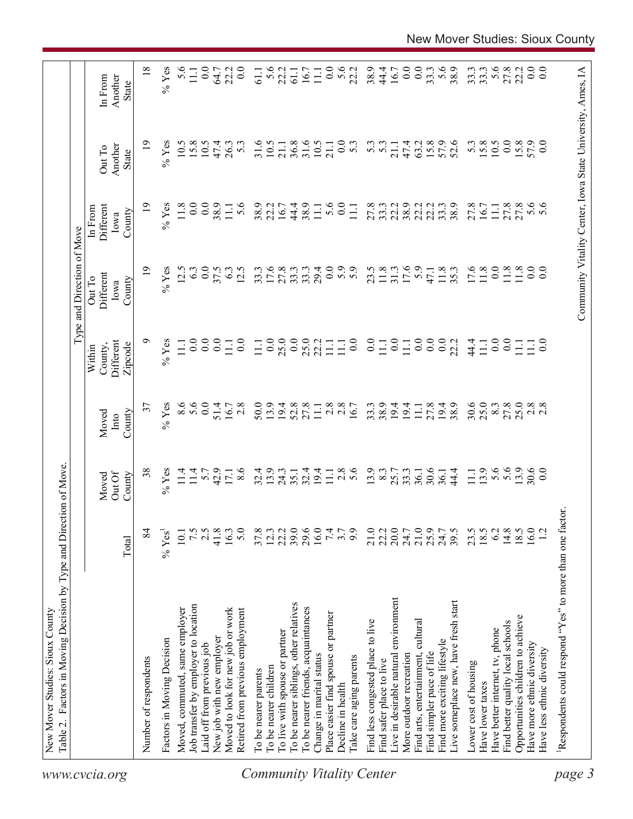|                                  | Factors in Moving Decision by Type and Direction of Move<br>Table 2. |                            |                                                    |                                                                        |                                                                                 | Type and Direction of Move            |                                                            |                            |                                    |
|----------------------------------|----------------------------------------------------------------------|----------------------------|----------------------------------------------------|------------------------------------------------------------------------|---------------------------------------------------------------------------------|---------------------------------------|------------------------------------------------------------|----------------------------|------------------------------------|
| www.cvcia.org                    |                                                                      | Total                      | Out Of<br>County<br>Moved                          | County<br>Moved<br>Into                                                | Different<br>County,<br>Zipcode<br>Within                                       | Different<br>Out To<br>County<br>Iowa | Different<br>In From<br>County<br>Iowa                     | Another<br>Out To<br>State | Another<br>In From<br><b>State</b> |
|                                  | Number of respondents                                                | 84                         | 38                                                 | 57                                                                     | ∘                                                                               | $\overline{19}$                       | $\overline{19}$                                            | $\overline{19}$            | 18                                 |
|                                  | Factors in Moving Decision                                           | $% \text{Yes}^1$           | $%$ Yes                                            | $%$ Yes                                                                | $%$ Yes                                                                         | $%$ Yes                               | $%$ Yes                                                    | $%$ Yes                    | $%$ Yes                            |
|                                  | Moved, commuted, same employer                                       | 10.1                       |                                                    |                                                                        | $\Xi$                                                                           | 12.5                                  | 11.8                                                       | 10.5                       | 5.6                                |
|                                  | Job transfer by employer to location                                 | 7.5                        |                                                    | $8.6$<br>$0.6$<br>$0.8$                                                | $\ddot{0}$ .                                                                    | 6.3                                   | 0.0                                                        | 15.8                       | $\Xi$                              |
|                                  | Laid off from previous job                                           | 2.5                        | $11.4$<br>$5.7$<br>$42.9$<br>$17.6$<br>$8.6$       |                                                                        | $\overline{0}$ .                                                                | 0.0                                   | 0.0                                                        | 10.5                       | 0.0                                |
|                                  | New job with new employer                                            | 41.8                       |                                                    | 51.4                                                                   | $\ddot{0}$ .                                                                    | 37.5                                  | 38.9                                                       | 47.4                       | 64.7                               |
|                                  | Moved to look for new job or work                                    | 16.3                       |                                                    | $16.7$<br>2.8                                                          | Ξ                                                                               | 6.3                                   | $\overline{111}$                                           | 26.3                       | 22.2                               |
|                                  | Retired from previous employment                                     | 5.0                        |                                                    |                                                                        | $\overline{0}$                                                                  | 12.5                                  | 5.6                                                        | $\overline{5}$             | $\overline{0.0}$                   |
|                                  | To be nearer parents                                                 |                            |                                                    |                                                                        | $\Xi$                                                                           |                                       | 38.9                                                       | 31.6                       | 61.1                               |
|                                  | To be nearer children                                                | $37.8$<br>12.3             | $32.4$<br>13.9                                     | 50.0                                                                   |                                                                                 | 33.3<br>17.6                          | 22.2                                                       | 10.5                       | 5.6                                |
|                                  | To live with spouse or partner                                       | 22.2                       | 24.3                                               |                                                                        |                                                                                 |                                       | 16.7                                                       | $21.1$                     | 22.2                               |
|                                  | To be nearer siblings, other relatives                               | 39.0                       | 35.1                                               |                                                                        |                                                                                 | 23334<br>23334                        | 44.4                                                       | 36.8                       | 61.1                               |
|                                  | To be nearer friends, acquaintances                                  | 29.6<br>16.0               | 32.4                                               |                                                                        |                                                                                 |                                       | 38.9                                                       | 31.6                       |                                    |
|                                  | Change in marital status                                             |                            | 19.4<br>11.1                                       | $\begin{array}{c}\n 9.48 \\ 2.88 \\ 2.71 \\ 1.38 \\ 2.5\n \end{array}$ |                                                                                 |                                       | $\Xi$                                                      | 10.5                       | 16.7<br>11.1                       |
|                                  | Place easier find spouse or partner                                  | 7.4                        |                                                    |                                                                        |                                                                                 | $\overline{0}$ .                      | 5.6                                                        | 21.1                       | $0.0$<br>5.6<br>22.2               |
|                                  | Decline in health                                                    | $3.7$<br>9.9               | $\frac{8}{5}$ 6                                    |                                                                        |                                                                                 | 5.9                                   | $\overline{0}$ .                                           | 0.0                        |                                    |
| <b>Community Vitality Center</b> | Take care aging parents                                              |                            |                                                    |                                                                        | $\begin{array}{c} 11.1 \\ 0.0 \end{array}$                                      |                                       | $\Xi$                                                      | $5.\overline{3}$           |                                    |
|                                  | Find less congested place to live                                    | 21.0                       |                                                    | 33.3                                                                   |                                                                                 | 23.5                                  | 27.8                                                       | 5.3                        | 38.9                               |
|                                  | Find safer place to live                                             | 22.2                       |                                                    | 38.9                                                                   |                                                                                 | 11.8                                  | 33.3                                                       | $5.\overline{3}$           | 44.4                               |
|                                  | Live in desirable natural environment                                | $20.7$<br>$24.7$<br>$21.0$ | 13.9<br>25.7<br>25.36.1                            | 19.4                                                                   | $\begin{array}{c} 0.011 \\ -0.110 \\ -0.011 \\ -0.000 \\ -0.001 \\ \end{array}$ | 31.3                                  | 22.2                                                       | 21.1                       | $16.7\phantom{00}0.0$              |
|                                  | More outdoor recreation                                              |                            |                                                    |                                                                        |                                                                                 | 17.6                                  | 38.9                                                       | 47.4                       |                                    |
|                                  | Find arts, entertainment, cultural                                   |                            |                                                    | $\Xi$                                                                  |                                                                                 | $5.9$<br>47.1                         | 22.2                                                       | 63.2                       | $\overline{0.0}$                   |
|                                  | Find simpler pace of life                                            | 25.9<br>24.7               | 30.6                                               | 27.8<br>19.4                                                           |                                                                                 |                                       | 22.2                                                       | 15.8                       | 33.3                               |
|                                  | Find more exciting lifestyle                                         |                            | 36.1                                               |                                                                        |                                                                                 | 11.8                                  | 33.3                                                       | 57.9                       | 5.6                                |
|                                  | Live someplace new, have fresh start                                 | 39.5                       | 44.4                                               | 38.9                                                                   |                                                                                 |                                       | 38.9                                                       | 52.6                       | 38.9                               |
|                                  | Lower cost of housing                                                |                            | $\Xi$                                              | 30.6                                                                   | 44.4                                                                            | 17.6                                  | 27.8                                                       | 5.3                        | 33.3                               |
|                                  | Have lower taxes                                                     | $23.5$<br>$18.5$<br>$6.2$  | 13.9                                               | 25.0                                                                   | $\Xi$                                                                           | 1.8                                   | 16.7                                                       | 15.8                       | 33.3                               |
|                                  | Have better internet, tv, phone                                      |                            | 5.6                                                | $8.3$<br>27.8                                                          | $\overline{0}$ .                                                                | $\ddot{0}$ .                          | $11.1\,$                                                   | 10.5                       | 5.6                                |
|                                  | Find better quality local schools                                    | 14.8                       |                                                    |                                                                        | $\overline{0}$                                                                  | 11.8                                  | 27.8                                                       | 0.0                        | 27.8                               |
|                                  | Opportunities children to achieve                                    | 18.5                       |                                                    | 25.0                                                                   | Ξ                                                                               | $\frac{8}{11}$                        | 27.8                                                       | 15.8                       | 22.2                               |
|                                  | Have more ethnic diversity                                           | 16.0                       | $\begin{array}{c} 13.9 \\ 30.6 \\ 0.0 \end{array}$ | 2.8                                                                    | $\frac{11}{100}$                                                                | 0.0                                   | 5.6                                                        | 57.9                       | 0.0                                |
|                                  | Have less ethnic diversity                                           | 12                         |                                                    |                                                                        |                                                                                 | 0.0                                   |                                                            | 0.0                        | 0.0                                |
| page 3                           | Respondents could respond "Yes" to more than one factor              |                            |                                                    |                                                                        |                                                                                 |                                       |                                                            |                            |                                    |
|                                  |                                                                      |                            |                                                    |                                                                        |                                                                                 |                                       | Community Vitality Center, Iowa State University, Ames, IA |                            |                                    |
|                                  |                                                                      |                            |                                                    |                                                                        |                                                                                 |                                       |                                                            |                            |                                    |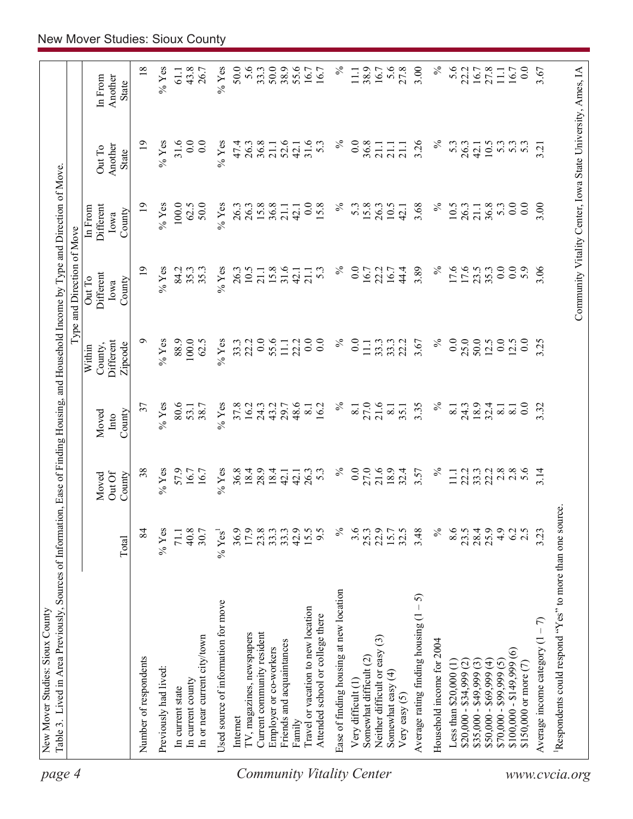| page 4                           | Table 3. Lived in Area Previously, Sources of Informatio<br>New Mover Studies: Sioux County |                  |                 |                          |                                | n, Ease of Finding Housing, and Household Income by Type and Direction of Move |                              |                                                            |                    |
|----------------------------------|---------------------------------------------------------------------------------------------|------------------|-----------------|--------------------------|--------------------------------|--------------------------------------------------------------------------------|------------------------------|------------------------------------------------------------|--------------------|
|                                  |                                                                                             |                  |                 |                          |                                | Type and Direction of Move                                                     |                              |                                                            |                    |
|                                  |                                                                                             |                  | Out Of<br>Moved | Moved<br>Into            | Different<br>County,<br>Within | Different<br>Out To<br>Iowa                                                    | Different<br>In From<br>Iowa | Another<br>Out To                                          | Another<br>In From |
|                                  |                                                                                             | Total            | County          | County                   | Zipcode                        | County                                                                         | County                       | <b>State</b>                                               | State              |
|                                  | Number of respondents                                                                       | 84               | 38              | 37                       | ๑                              | $\overline{19}$                                                                | $\overline{1}$               | $\overline{19}$                                            | $\overline{18}$    |
|                                  | Previously had lived:                                                                       | $%$ Yes          | $%$ Yes         | $%$ Yes                  | $%$ Yes                        | $%$ Yes                                                                        | $\%$ Yes                     | $%$ Yes                                                    | $\%$ Yes           |
|                                  | In current state                                                                            | 71.1             | 57.9            | 80.6                     | 88.9                           | 84.2                                                                           | 100.0                        | 31.6                                                       | 61.1               |
|                                  | In current county                                                                           | 40.8             | 16.7            | 53.1                     | 100.0                          | 35.3                                                                           | 62.5                         | 0.0                                                        | 43.8               |
|                                  | In or near current city/town                                                                | 30.7             | 16.7            | 38.7                     | 62.5                           | 35.3                                                                           | 50.0                         | 0.0                                                        | 26.7               |
|                                  | Used source of information for move                                                         | $%$ Yes          | $%$ Yes         | $%$ Yes                  | $%$ Yes                        | $%$ Yes                                                                        | $%$ Yes                      | $%$ Yes                                                    | $%$ Yes            |
|                                  | Internet                                                                                    | 36.9             | 36.8            | 37.8                     | 33.3                           | 26.3                                                                           | 26.3                         | 47.4                                                       | 50.0               |
|                                  | IV, magazines, newspapers                                                                   | 17.9             | 18.4            | 16.2                     | 22.2                           | 10.5                                                                           | 26.3                         | 26.3                                                       | 5.6                |
|                                  | Current community resident                                                                  | 23.8             | 28.9            | 24.3                     | 0.0                            | 21.1                                                                           | 15.8                         | 36.8                                                       | 33.3               |
|                                  | Employer or co-workers                                                                      | 33.3             | 18.4            | 43.2                     | 55.6                           | 15.8                                                                           | 36.8                         | 21.1                                                       | 50.0               |
|                                  | Friends and acquaintances                                                                   | 33.3             | $\frac{1}{4}$   | 29.7                     | $\overline{111}$               | 31.6                                                                           | 21.1                         | 52.6                                                       | 38.9               |
|                                  | Family                                                                                      | 42.9             | 42.1            | 48.6                     | 22.2                           | 42.1                                                                           | 42.1                         | 42.1                                                       | 55.6               |
| <b>Community Vitality Center</b> | Travel or vacation to new location<br>Attended school or college there                      | 9.5<br>15.5      | 26.3<br>53      | 16.2<br>$\overline{8}$ . | 0.0<br>0.0                     | 53<br>21.1                                                                     | 0.0<br>15.8                  | 31.6<br>5.3                                                | 16.7               |
|                                  | Ease of finding housing at new location                                                     | $\%$             | $\%$            | $\%$                     | $\%$                           | $\%$                                                                           | $\%$                         | $\%$                                                       | $\%$               |
|                                  | Very difficult (1)                                                                          | 3.6              | 0.0             | $\overline{8.1}$         | 0.0                            | 0.0                                                                            | $5.\overline{3}$             | 0.0                                                        | $\Xi$              |
|                                  | Somewhat difficult (2)                                                                      | 25.3             | 27.0            | 27.0<br>21.6             | $\Xi$                          | 16.7<br>22.2                                                                   | 15.8                         | 36.8                                                       | 38.9               |
|                                  | ල<br>Neither difficult or easy                                                              | 22.9             | 21.6            |                          | 33.3                           |                                                                                | 26.3                         | 21.1                                                       | 16.7               |
|                                  | Somewhat easy (4)<br>Very easy $(5)$                                                        | 32.5<br>15.7     | 18.9<br>32.4    | $\overline{8}$ .<br>35.1 | 33.3<br>22.2                   | 44.4<br>16.7                                                                   | 10.5<br>42.1                 | 21.1<br>21.1                                               | 5.6<br>27.8        |
|                                  | 5<br>Average rating finding housing (1                                                      | 3.48             | 3.57            | 3.35                     | 3.67                           | 3.89                                                                           | 3.68                         | 3.26                                                       | 3.00               |
|                                  | Household income for 2004                                                                   | $\%$             | $\%$            | $\%$                     | $\%$                           | $\%$                                                                           | $\%$                         | $\%$                                                       | $\%$               |
|                                  | Less than $$20,000(1)$                                                                      | 8.6              | $11.1\,$        | 8.1                      | 0.0                            | 17.6                                                                           | 10.5                         | 5.3                                                        | 5.6                |
|                                  | $$20,000 - $34,999 (2)$                                                                     | $23.5$<br>$28.4$ | 22.2            |                          | 25.0                           |                                                                                | 26.3                         | 26.3                                                       | 22.2<br>16.7       |
|                                  | $$35,000 - $49,999(3)$                                                                      |                  | 33.3            | 24.3<br>18.9<br>32.4     | 50.0                           | 17.6                                                                           | 21.1                         | 42.1                                                       |                    |
|                                  | $$50,000 - $69,999 (4)$                                                                     | 25.9             | 22.2            |                          | 12.5                           | 35.3                                                                           | 36.8                         | 10.5                                                       | 27.8               |
|                                  | $$70,000 - $99,999(5)$                                                                      | 4.9              | 2.8             | $\overline{8}$ .         | 0.0                            | 0.0                                                                            | 5.3                          | 5.3                                                        | 11.1               |
|                                  | $$100,000 - $149,999(6)$                                                                    | 62               | $\frac{8}{5.6}$ | $\overline{8}$ .         | 12.5                           | 0.0                                                                            | 0.0                          | 5.3                                                        | 16.7               |
|                                  | \$150,000 or more (7)                                                                       | 2.5              |                 | $\overline{0.0}$         | 0.0                            | 5.9                                                                            | 0.0                          | 53                                                         | 0.0                |
|                                  | Average income category $(1 - 7)$                                                           | 3.23             | 3.14            | 3.32                     | 3.25                           | 3.06                                                                           | 3.00                         | 3.21                                                       | 3.67               |
|                                  | Respondents could respond "Yes" to more than one source                                     |                  |                 |                          |                                |                                                                                |                              |                                                            |                    |
| www.cvcia.org                    |                                                                                             |                  |                 |                          |                                |                                                                                |                              | Community Vitality Center, Iowa State University, Ames, IA |                    |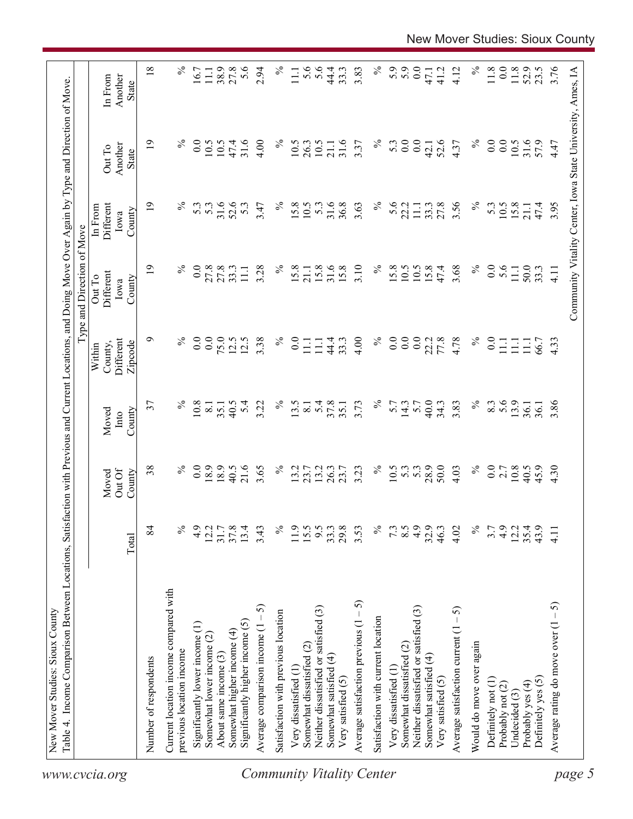| $\%$<br>$\%$<br>$\overline{0.0}$<br>$0.0\,$<br>$\%$<br>๑<br>$\overline{0}$ .<br>$\overline{0.0}$<br>75.0<br>12.5<br>12.5<br>3.38<br>$\%$<br>4.00<br>$\overline{0}$ .<br>77.8<br>4.78<br>Different<br>$\overline{0.0}$<br>44.4<br>22.2<br>$\rm ^{0.0}$<br>33.3<br>$\Xi$<br>Ξ<br>County,<br>Zipcode<br>Within<br>$\%$<br>$\%$<br>37<br>$\%$<br>5.4<br>37.8<br>3.73<br>$\%$<br>3.83<br>$\frac{3}{5}$ .6<br>10.8<br>5.4<br>3.22<br>13.5<br>5.7<br>14.3<br>40.0<br>34.3<br>40.5<br>35.1<br>5.7<br>$\overline{8}$ .<br>35.1<br>$\overline{8.1}$<br>County<br>Moved<br>Into<br>$\%$<br>$\overline{0.0}$<br>21.6<br>$\frac{5}{6}$<br>28.9<br>50.0<br>$\%$<br>38<br>8.9<br>18.9<br>40.5<br>3.65<br>$\%$<br>13.2<br>26.3<br>10.5<br>5.3<br>5.3<br>0.0<br>13.2<br>23.7<br>23.7<br>3.23<br>4.03<br>Out Of<br>County<br>Moved<br>4.9<br>84<br>$\%$<br>4.9<br>37.8<br>$\%$<br>11.9<br>15.5<br>9.5<br>33.3<br>29.8<br>$\%$<br>8.5<br>32.9<br>$\%$<br>12.2<br>31.7<br>13.4<br>3.43<br>3.53<br>7.3<br>46.3<br>3.7<br>4.02<br>Total<br>Current location income compared with<br>Average satisfaction previous $(1 - 5)$<br>Average comparison income $(1 - 5)$<br>Neither dissatisfied or satisfied (3)<br>Average satisfaction current $(1 - 5)$<br>Neither dissatisfied or satisfied (3)<br>Satisfaction with previous location<br>Satisfaction with current location<br>Significantly higher income (5)<br>Significantly lower income (1)<br>Somewhat higher income (4)<br>Somewhat lower income (2)<br>Would do move over again<br>Somewhat dissatisfied (2)<br>Somewhat dissatisfied (2)<br>previous location income<br>About same income (3)<br>Somewhat satisfied (4)<br>Somewhat satisfied (4)<br>Number of respondents<br>Very dissatisfied (1<br>Very dissatisfied (1<br>Very satisfied (5)<br>Very satisfied (5)<br>Definitely not (1) | $\%$<br>$\overline{19}$<br>0.0<br>27.8<br>33.3<br>3.28<br>$\%$<br>27.8<br>111<br>Different<br>Out To<br>County<br>Iowa | $\%$<br>31.6<br>$\overline{19}$<br>$\overline{0}$ .<br>4.00<br>$\%$<br>10.5<br>47.4<br>10.5<br>Another<br>Out To<br>State<br>$\%$<br>31.6<br>$\overline{19}$<br>52.6<br>$\%$<br>5.3<br>53<br>5.3<br>3.47<br>Different<br>In From<br>County<br>Iowa | $\overline{18}$<br>5.6<br>$\%$<br>27.8<br>$\%$<br>38.9<br>2.94<br>16.7<br>11.1<br>$\Xi$<br>In From<br>Another<br>State |
|---------------------------------------------------------------------------------------------------------------------------------------------------------------------------------------------------------------------------------------------------------------------------------------------------------------------------------------------------------------------------------------------------------------------------------------------------------------------------------------------------------------------------------------------------------------------------------------------------------------------------------------------------------------------------------------------------------------------------------------------------------------------------------------------------------------------------------------------------------------------------------------------------------------------------------------------------------------------------------------------------------------------------------------------------------------------------------------------------------------------------------------------------------------------------------------------------------------------------------------------------------------------------------------------------------------------------------------------------------------------------------------------------------------------------------------------------------------------------------------------------------------------------------------------------------------------------------------------------------------------------------------------------------------------------------------------------------------------------------------------------------------------------------------------------------------------------------|------------------------------------------------------------------------------------------------------------------------|----------------------------------------------------------------------------------------------------------------------------------------------------------------------------------------------------------------------------------------------------|------------------------------------------------------------------------------------------------------------------------|
|                                                                                                                                                                                                                                                                                                                                                                                                                                                                                                                                                                                                                                                                                                                                                                                                                                                                                                                                                                                                                                                                                                                                                                                                                                                                                                                                                                                                                                                                                                                                                                                                                                                                                                                                                                                                                                 |                                                                                                                        |                                                                                                                                                                                                                                                    |                                                                                                                        |
|                                                                                                                                                                                                                                                                                                                                                                                                                                                                                                                                                                                                                                                                                                                                                                                                                                                                                                                                                                                                                                                                                                                                                                                                                                                                                                                                                                                                                                                                                                                                                                                                                                                                                                                                                                                                                                 |                                                                                                                        |                                                                                                                                                                                                                                                    |                                                                                                                        |
|                                                                                                                                                                                                                                                                                                                                                                                                                                                                                                                                                                                                                                                                                                                                                                                                                                                                                                                                                                                                                                                                                                                                                                                                                                                                                                                                                                                                                                                                                                                                                                                                                                                                                                                                                                                                                                 |                                                                                                                        |                                                                                                                                                                                                                                                    |                                                                                                                        |
|                                                                                                                                                                                                                                                                                                                                                                                                                                                                                                                                                                                                                                                                                                                                                                                                                                                                                                                                                                                                                                                                                                                                                                                                                                                                                                                                                                                                                                                                                                                                                                                                                                                                                                                                                                                                                                 |                                                                                                                        |                                                                                                                                                                                                                                                    |                                                                                                                        |
|                                                                                                                                                                                                                                                                                                                                                                                                                                                                                                                                                                                                                                                                                                                                                                                                                                                                                                                                                                                                                                                                                                                                                                                                                                                                                                                                                                                                                                                                                                                                                                                                                                                                                                                                                                                                                                 |                                                                                                                        |                                                                                                                                                                                                                                                    |                                                                                                                        |
|                                                                                                                                                                                                                                                                                                                                                                                                                                                                                                                                                                                                                                                                                                                                                                                                                                                                                                                                                                                                                                                                                                                                                                                                                                                                                                                                                                                                                                                                                                                                                                                                                                                                                                                                                                                                                                 |                                                                                                                        |                                                                                                                                                                                                                                                    |                                                                                                                        |
|                                                                                                                                                                                                                                                                                                                                                                                                                                                                                                                                                                                                                                                                                                                                                                                                                                                                                                                                                                                                                                                                                                                                                                                                                                                                                                                                                                                                                                                                                                                                                                                                                                                                                                                                                                                                                                 |                                                                                                                        |                                                                                                                                                                                                                                                    |                                                                                                                        |
|                                                                                                                                                                                                                                                                                                                                                                                                                                                                                                                                                                                                                                                                                                                                                                                                                                                                                                                                                                                                                                                                                                                                                                                                                                                                                                                                                                                                                                                                                                                                                                                                                                                                                                                                                                                                                                 |                                                                                                                        |                                                                                                                                                                                                                                                    |                                                                                                                        |
|                                                                                                                                                                                                                                                                                                                                                                                                                                                                                                                                                                                                                                                                                                                                                                                                                                                                                                                                                                                                                                                                                                                                                                                                                                                                                                                                                                                                                                                                                                                                                                                                                                                                                                                                                                                                                                 |                                                                                                                        |                                                                                                                                                                                                                                                    |                                                                                                                        |
|                                                                                                                                                                                                                                                                                                                                                                                                                                                                                                                                                                                                                                                                                                                                                                                                                                                                                                                                                                                                                                                                                                                                                                                                                                                                                                                                                                                                                                                                                                                                                                                                                                                                                                                                                                                                                                 |                                                                                                                        |                                                                                                                                                                                                                                                    |                                                                                                                        |
|                                                                                                                                                                                                                                                                                                                                                                                                                                                                                                                                                                                                                                                                                                                                                                                                                                                                                                                                                                                                                                                                                                                                                                                                                                                                                                                                                                                                                                                                                                                                                                                                                                                                                                                                                                                                                                 |                                                                                                                        |                                                                                                                                                                                                                                                    |                                                                                                                        |
|                                                                                                                                                                                                                                                                                                                                                                                                                                                                                                                                                                                                                                                                                                                                                                                                                                                                                                                                                                                                                                                                                                                                                                                                                                                                                                                                                                                                                                                                                                                                                                                                                                                                                                                                                                                                                                 | 15.8                                                                                                                   |                                                                                                                                                                                                                                                    |                                                                                                                        |
|                                                                                                                                                                                                                                                                                                                                                                                                                                                                                                                                                                                                                                                                                                                                                                                                                                                                                                                                                                                                                                                                                                                                                                                                                                                                                                                                                                                                                                                                                                                                                                                                                                                                                                                                                                                                                                 |                                                                                                                        | 10.5<br>15.8<br>10.5                                                                                                                                                                                                                               |                                                                                                                        |
|                                                                                                                                                                                                                                                                                                                                                                                                                                                                                                                                                                                                                                                                                                                                                                                                                                                                                                                                                                                                                                                                                                                                                                                                                                                                                                                                                                                                                                                                                                                                                                                                                                                                                                                                                                                                                                 | 21.1                                                                                                                   | 26.3                                                                                                                                                                                                                                               | 5.6                                                                                                                    |
|                                                                                                                                                                                                                                                                                                                                                                                                                                                                                                                                                                                                                                                                                                                                                                                                                                                                                                                                                                                                                                                                                                                                                                                                                                                                                                                                                                                                                                                                                                                                                                                                                                                                                                                                                                                                                                 | 15.8                                                                                                                   | 10.5<br>53                                                                                                                                                                                                                                         | 5.6                                                                                                                    |
|                                                                                                                                                                                                                                                                                                                                                                                                                                                                                                                                                                                                                                                                                                                                                                                                                                                                                                                                                                                                                                                                                                                                                                                                                                                                                                                                                                                                                                                                                                                                                                                                                                                                                                                                                                                                                                 | 31.6<br>15.8                                                                                                           | 31.6<br>21.1<br>31.6<br>36.8                                                                                                                                                                                                                       | 44.4<br>33.3                                                                                                           |
|                                                                                                                                                                                                                                                                                                                                                                                                                                                                                                                                                                                                                                                                                                                                                                                                                                                                                                                                                                                                                                                                                                                                                                                                                                                                                                                                                                                                                                                                                                                                                                                                                                                                                                                                                                                                                                 |                                                                                                                        |                                                                                                                                                                                                                                                    |                                                                                                                        |
|                                                                                                                                                                                                                                                                                                                                                                                                                                                                                                                                                                                                                                                                                                                                                                                                                                                                                                                                                                                                                                                                                                                                                                                                                                                                                                                                                                                                                                                                                                                                                                                                                                                                                                                                                                                                                                 | 3.10                                                                                                                   | 3.37<br>3.63                                                                                                                                                                                                                                       | 3.83                                                                                                                   |
|                                                                                                                                                                                                                                                                                                                                                                                                                                                                                                                                                                                                                                                                                                                                                                                                                                                                                                                                                                                                                                                                                                                                                                                                                                                                                                                                                                                                                                                                                                                                                                                                                                                                                                                                                                                                                                 | $\%$                                                                                                                   | $\%$<br>$\%$                                                                                                                                                                                                                                       | $\%$                                                                                                                   |
|                                                                                                                                                                                                                                                                                                                                                                                                                                                                                                                                                                                                                                                                                                                                                                                                                                                                                                                                                                                                                                                                                                                                                                                                                                                                                                                                                                                                                                                                                                                                                                                                                                                                                                                                                                                                                                 | 15.8                                                                                                                   | 5.3<br>5.6                                                                                                                                                                                                                                         | 5.9                                                                                                                    |
|                                                                                                                                                                                                                                                                                                                                                                                                                                                                                                                                                                                                                                                                                                                                                                                                                                                                                                                                                                                                                                                                                                                                                                                                                                                                                                                                                                                                                                                                                                                                                                                                                                                                                                                                                                                                                                 | 10.5                                                                                                                   | 0.0<br>22.2                                                                                                                                                                                                                                        | 5.9                                                                                                                    |
|                                                                                                                                                                                                                                                                                                                                                                                                                                                                                                                                                                                                                                                                                                                                                                                                                                                                                                                                                                                                                                                                                                                                                                                                                                                                                                                                                                                                                                                                                                                                                                                                                                                                                                                                                                                                                                 | 10.5                                                                                                                   | 0.0<br>$\Xi$                                                                                                                                                                                                                                       | $0.0\,$                                                                                                                |
|                                                                                                                                                                                                                                                                                                                                                                                                                                                                                                                                                                                                                                                                                                                                                                                                                                                                                                                                                                                                                                                                                                                                                                                                                                                                                                                                                                                                                                                                                                                                                                                                                                                                                                                                                                                                                                 | 15.8                                                                                                                   | 42.1<br>33.3                                                                                                                                                                                                                                       | 47.1                                                                                                                   |
|                                                                                                                                                                                                                                                                                                                                                                                                                                                                                                                                                                                                                                                                                                                                                                                                                                                                                                                                                                                                                                                                                                                                                                                                                                                                                                                                                                                                                                                                                                                                                                                                                                                                                                                                                                                                                                 | 47.4                                                                                                                   | 52.6<br>27.8                                                                                                                                                                                                                                       | 41.2                                                                                                                   |
|                                                                                                                                                                                                                                                                                                                                                                                                                                                                                                                                                                                                                                                                                                                                                                                                                                                                                                                                                                                                                                                                                                                                                                                                                                                                                                                                                                                                                                                                                                                                                                                                                                                                                                                                                                                                                                 | 3.68                                                                                                                   | 4.37<br>3.56                                                                                                                                                                                                                                       | 4.12                                                                                                                   |
|                                                                                                                                                                                                                                                                                                                                                                                                                                                                                                                                                                                                                                                                                                                                                                                                                                                                                                                                                                                                                                                                                                                                                                                                                                                                                                                                                                                                                                                                                                                                                                                                                                                                                                                                                                                                                                 | $\%$                                                                                                                   | $\%$<br>$\%$                                                                                                                                                                                                                                       | $\%$                                                                                                                   |
|                                                                                                                                                                                                                                                                                                                                                                                                                                                                                                                                                                                                                                                                                                                                                                                                                                                                                                                                                                                                                                                                                                                                                                                                                                                                                                                                                                                                                                                                                                                                                                                                                                                                                                                                                                                                                                 | 0.0                                                                                                                    | 0.0<br>53                                                                                                                                                                                                                                          | $11.8$                                                                                                                 |
| Ξ<br>2.7<br>4.9<br>Probably not (2)                                                                                                                                                                                                                                                                                                                                                                                                                                                                                                                                                                                                                                                                                                                                                                                                                                                                                                                                                                                                                                                                                                                                                                                                                                                                                                                                                                                                                                                                                                                                                                                                                                                                                                                                                                                             | 5.6                                                                                                                    | 0.0<br>10.5                                                                                                                                                                                                                                        | 0.0                                                                                                                    |
| $\Xi$<br>13.9<br>$10.8\,$<br>12.2<br>Undecided (3)                                                                                                                                                                                                                                                                                                                                                                                                                                                                                                                                                                                                                                                                                                                                                                                                                                                                                                                                                                                                                                                                                                                                                                                                                                                                                                                                                                                                                                                                                                                                                                                                                                                                                                                                                                              | 11.1                                                                                                                   | 10.5<br>15.8                                                                                                                                                                                                                                       | 11.8                                                                                                                   |
| Ξ<br>36.1<br>40.5<br>35.4<br>Probably yes (4)                                                                                                                                                                                                                                                                                                                                                                                                                                                                                                                                                                                                                                                                                                                                                                                                                                                                                                                                                                                                                                                                                                                                                                                                                                                                                                                                                                                                                                                                                                                                                                                                                                                                                                                                                                                   | 50.0                                                                                                                   | 31.6<br>21.1                                                                                                                                                                                                                                       | 52.9                                                                                                                   |
| 66.7<br>36.1<br>45.9<br>43.9<br>Definitely yes (5)                                                                                                                                                                                                                                                                                                                                                                                                                                                                                                                                                                                                                                                                                                                                                                                                                                                                                                                                                                                                                                                                                                                                                                                                                                                                                                                                                                                                                                                                                                                                                                                                                                                                                                                                                                              | 33.3                                                                                                                   | 57.9<br>47.4                                                                                                                                                                                                                                       | 23.5                                                                                                                   |
| 4.33<br>3.86<br>4.30<br>4.11<br>Average rating do move over $(1 - 5)$                                                                                                                                                                                                                                                                                                                                                                                                                                                                                                                                                                                                                                                                                                                                                                                                                                                                                                                                                                                                                                                                                                                                                                                                                                                                                                                                                                                                                                                                                                                                                                                                                                                                                                                                                           | 4.11                                                                                                                   | 4.47<br>3.95                                                                                                                                                                                                                                       | 3.76                                                                                                                   |
|                                                                                                                                                                                                                                                                                                                                                                                                                                                                                                                                                                                                                                                                                                                                                                                                                                                                                                                                                                                                                                                                                                                                                                                                                                                                                                                                                                                                                                                                                                                                                                                                                                                                                                                                                                                                                                 |                                                                                                                        | Community Vitality Center, Iowa State University, Ames, IA                                                                                                                                                                                         |                                                                                                                        |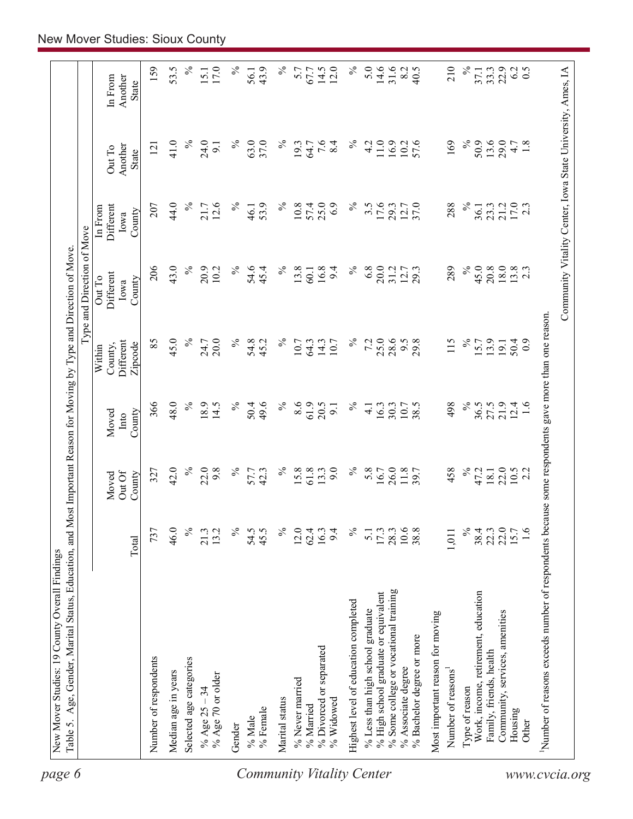|                           |                                                                                                     |                  |                           |                          |                                                  | Type and Direction of Move                                 |                                        |                            |                                    |
|---------------------------|-----------------------------------------------------------------------------------------------------|------------------|---------------------------|--------------------------|--------------------------------------------------|------------------------------------------------------------|----------------------------------------|----------------------------|------------------------------------|
|                           |                                                                                                     | Total            | Out Of<br>Moved<br>County | County<br>Moved<br>Into  | <b>Different</b><br>County,<br>Zipcode<br>Within | Different<br>Out To<br>County<br>Iowa                      | Different<br>In From<br>County<br>Iowa | Another<br>Out To<br>State | Another<br>In From<br><b>State</b> |
|                           | Number of respondents                                                                               | 737              | 327                       | 366                      | 85                                               | 206                                                        | 207                                    | 121                        | 159                                |
|                           | Median age in years                                                                                 | 46.0             | 42.0                      | 48.0                     | 45.0                                             | 43.0                                                       | 44.0                                   | 41.0                       | 53.5                               |
|                           | Selected age categories                                                                             | $\%$             | $\%$                      | $\%$                     | $\%$                                             | $\%$                                                       | $\%$                                   | $\%$                       | $\%$                               |
|                           | % Age 70 or older<br>% Age $25 - 34$                                                                | 13.2<br>21.3     | 22.0<br>9.8               | 18.9<br>14.5             | 20.0<br>24.7                                     | 20.9<br>10.2                                               | 12.6<br>21.7                           | 24.0<br>$\overline{5}$     | 17.0<br>15.1                       |
|                           | Gender                                                                                              | $\%$             | $\%$                      | $\%$                     | $\%$                                             | $\%$                                                       | $\%$                                   | $\%$                       | $\%$                               |
| Community Vitality Center | % Female<br>% Male                                                                                  | 54.5<br>45.5     | 57.7<br>42.3              | 49.6<br>50.4             | 54.8<br>45.2                                     | 54.6<br>45.4                                               | 53.9<br>46.1                           | 63.0<br>37.0               | 43.9<br>56.1                       |
|                           | Marital status                                                                                      | $\%$             | $\%$                      | $\%$                     | $\%$                                             | $\%$                                                       | $\%$                                   | $\%$                       | $\%$                               |
|                           | % Never married                                                                                     | 12.0             | 15.8                      | 8.6                      | 10.7                                             | 13.8                                                       | 10.8                                   | 19.3                       | 5.7                                |
|                           | % Married                                                                                           | 62.4             | 61.8                      | 61.9                     | 64.3                                             | 60.1                                                       | 57.4                                   | 64.7                       | 67.7                               |
|                           | % Divorced or separated<br>% Widowed                                                                | 9.4<br>16.3      | 9.0<br>13.3               | 20.5<br>$\overline{9}$ . | 14.3<br>10.7                                     | 16.8<br>9.4                                                | 25.0<br>6.9                            | 7.6<br>8.4                 | 14.5<br>12.0                       |
|                           | Highest level of education completed                                                                | $\%$             | $\%$                      | $\%$                     | $\%$                                             | $\%$                                                       | $\%$                                   | $\%$                       | $\%$                               |
|                           | % Less than high school graduate                                                                    | $\overline{5}$ . | 5.8                       | $\overline{4.1}$         | 7.2                                              | 6.8                                                        | $3.\overline{5}$                       | 4.2                        | 5.0                                |
|                           | % High school graduate or equivalent                                                                | 17.3             | 16.7                      | 16.3                     | 25.0                                             | 20.0                                                       | 17.6                                   | 11.0                       | 14.6                               |
|                           | % Some college or vocational training                                                               | 28.3             | 26.0                      | 30.3                     | 28.6                                             | 31.2                                                       | 29.3                                   | 16.9                       | 31.6                               |
|                           | % Bachelor degree or more<br>% Associate degree                                                     | 10.6<br>38.8     | 11.8<br>39.7              | 10.7<br>38.5             | $9.5$<br>29.8                                    | 12.7<br>29.3                                               | 12.7<br>37.0                           | 57.6<br>10.2               | 8.2<br>40.5                        |
|                           | Most important reason for moving                                                                    |                  |                           |                          |                                                  |                                                            |                                        |                            |                                    |
|                           | Number of reasons                                                                                   | 1,011            | 458                       | 498                      | 115                                              | 289                                                        | 288                                    | 169                        | 210                                |
|                           | Type of reason                                                                                      | $\%$             | $\%$                      | $\%$                     | $\%$                                             | $\%$                                                       | $\%$                                   | $\%$                       | $\%$                               |
|                           | Work, income, retirement, education                                                                 | 38.4             | 47.2                      | 36.5                     | 15.7                                             | 45.0                                                       | 36.1                                   | 50.9                       | 37.1                               |
|                           | Family, friends, health                                                                             | 22.0<br>22.3     | 22.0<br>18.1              | 27.5                     | 13.9<br>19.1                                     | 20.8<br>$18.0\,$                                           | 23.3                                   | 13.6<br>29.0               | 22.9<br>33.3                       |
|                           | Community, services, amenities<br>Housing                                                           | 15.7             |                           | 21.9<br>12.4             | 50.4                                             |                                                            | 21.2                                   | 4.7                        | 6.2                                |
|                           | Other                                                                                               | $\frac{6}{1}$    | $10.5$<br>2.2             | 1.6                      | $\overline{0}$                                   | $13.8$<br>2.3                                              | 17.0<br>2.3                            | 1.8                        | 0.5                                |
| www.cvcia.org             | Number of reasons exceeds number of respondents because some respondents gave more than one reason. |                  |                           |                          |                                                  |                                                            |                                        |                            |                                    |
|                           |                                                                                                     |                  |                           |                          |                                                  | Community Vitality Center, Iowa State University, Ames, IA |                                        |                            |                                    |
|                           |                                                                                                     |                  |                           |                          |                                                  |                                                            |                                        |                            |                                    |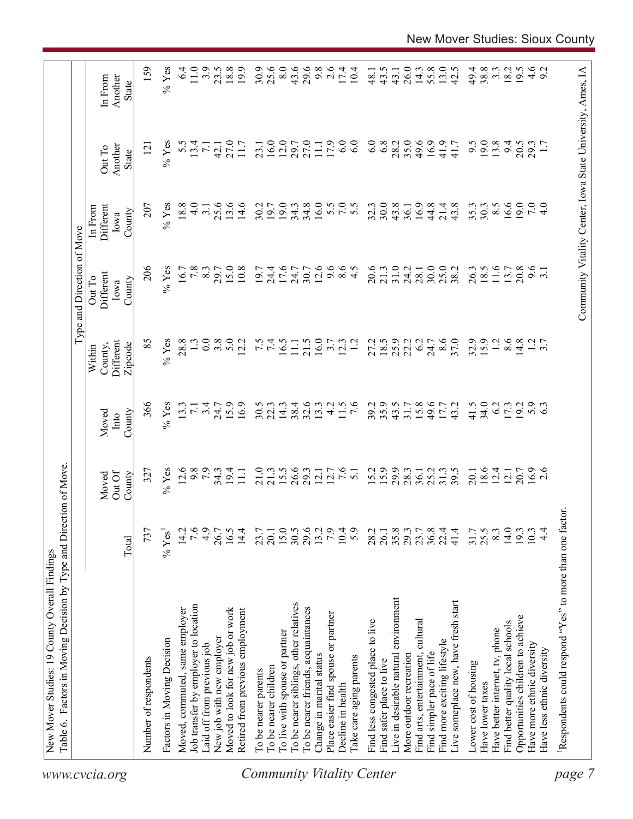| 19.0<br>34.8<br>16.0<br>30.0<br>16.6<br>13.6<br>14.6<br>30.2<br>19.0<br>34.3<br>32.3<br>43.8<br>16.9<br>44.8<br>43.8<br>35.3<br>19.7<br>21.4<br>30.3<br>36.1<br>9.6<br>12.6<br>$8.5$<br>4.5<br>20.6<br>31.0<br>25.0<br>26.3<br>11.6<br>20.8<br>15.0<br>10.8<br>19.7<br>17.6<br>9.6<br>21.3<br>24.2<br>18.5<br>13.7<br>24.4<br>24.7<br>30.7<br>30.0<br>38.2<br>3.1<br>28.1<br>16.0<br>8.6<br>32.9<br>15.9<br>8.6<br>5.0<br>7.4<br>21.5<br>18.5<br>25.9<br>37.0<br>$\overline{12}$<br>14.8<br>$1.2$<br>3.7<br>12.2<br>16.5<br>$\overline{12}$<br>22.2<br>6.2<br>11.1<br>3.7<br>12.3<br>27.2<br>24.7<br>35.9<br>41.5<br>34.0<br>15.9<br>16.9<br>30.5<br>38.4<br>$32.6$<br>13.3<br>4.2<br>11.5<br>$\overline{7.6}$<br>39.2<br>43.5<br>15.8<br>49.6<br>43.2<br>6.2<br>19.2<br>5.3<br>22.3<br>14.3<br>17.3<br>31.7<br>17.7<br>$15.5$<br>26.6<br>29.3<br>7.6<br>15.2<br>29.9<br>$18.6$<br>12.4<br>$16.9$<br>2.6<br>$34.3$<br>19.4<br>11.1<br>21.0<br>$12.1$<br>$12.7$<br>25.2<br>31.3<br>39.5<br>20.7<br>21.3<br>5.1<br>28.3<br>36.1<br>20.1<br>12.1<br>15.0<br>29.6<br>7.9<br>14.0<br>16.5<br>14.4<br>30.5<br>10.4<br>5.9<br>35.8<br>36.8<br>41.4<br>25.5<br>8.3<br>19.3<br>$4\cdot$<br>23.7<br>13.2<br>28.2<br>26.1<br>29.3<br>23.7<br>22.4<br>31.7<br>10.3<br>20.1<br>Live in desirable natural environment<br>Live someplace new, have fresh start<br>To be nearer siblings, other relatives<br>To be nearer friends, acquaintances<br>Moved to look for new job or work<br>Retired from previous employment<br>Place easier find spouse or partner<br>Opportunities children to achieve<br>Find less congested place to live<br>Find arts, entertainment, cultural<br>Find better quality local schools<br>Have better internet, tv, phone<br>To live with spouse or partner<br>Find more exciting lifestyle<br>Have more ethnic diversity<br>Have less ethnic diversity<br>More outdoor recreation<br>Find simpler pace of life<br>Change in marital status<br>Take care aging parents<br>Find safer place to live<br>Lower cost of housing<br>To be nearer children<br>To be nearer parents<br>Have lower taxes<br>Decline in health |
|--------------------------------------------------------------------------------------------------------------------------------------------------------------------------------------------------------------------------------------------------------------------------------------------------------------------------------------------------------------------------------------------------------------------------------------------------------------------------------------------------------------------------------------------------------------------------------------------------------------------------------------------------------------------------------------------------------------------------------------------------------------------------------------------------------------------------------------------------------------------------------------------------------------------------------------------------------------------------------------------------------------------------------------------------------------------------------------------------------------------------------------------------------------------------------------------------------------------------------------------------------------------------------------------------------------------------------------------------------------------------------------------------------------------------------------------------------------------------------------------------------------------------------------------------------------------------------------------------------------------------------------------------------------------------------------------------------------------------------------------------------------------------------------------------------------------------------------------------------------------------------------------------------------------------------------------------------------------------------------------------------------------------------------------------------------------------------------------------------------------------------------|
|                                                                                                                                                                                                                                                                                                                                                                                                                                                                                                                                                                                                                                                                                                                                                                                                                                                                                                                                                                                                                                                                                                                                                                                                                                                                                                                                                                                                                                                                                                                                                                                                                                                                                                                                                                                                                                                                                                                                                                                                                                                                                                                                      |
|                                                                                                                                                                                                                                                                                                                                                                                                                                                                                                                                                                                                                                                                                                                                                                                                                                                                                                                                                                                                                                                                                                                                                                                                                                                                                                                                                                                                                                                                                                                                                                                                                                                                                                                                                                                                                                                                                                                                                                                                                                                                                                                                      |
|                                                                                                                                                                                                                                                                                                                                                                                                                                                                                                                                                                                                                                                                                                                                                                                                                                                                                                                                                                                                                                                                                                                                                                                                                                                                                                                                                                                                                                                                                                                                                                                                                                                                                                                                                                                                                                                                                                                                                                                                                                                                                                                                      |
|                                                                                                                                                                                                                                                                                                                                                                                                                                                                                                                                                                                                                                                                                                                                                                                                                                                                                                                                                                                                                                                                                                                                                                                                                                                                                                                                                                                                                                                                                                                                                                                                                                                                                                                                                                                                                                                                                                                                                                                                                                                                                                                                      |
|                                                                                                                                                                                                                                                                                                                                                                                                                                                                                                                                                                                                                                                                                                                                                                                                                                                                                                                                                                                                                                                                                                                                                                                                                                                                                                                                                                                                                                                                                                                                                                                                                                                                                                                                                                                                                                                                                                                                                                                                                                                                                                                                      |
|                                                                                                                                                                                                                                                                                                                                                                                                                                                                                                                                                                                                                                                                                                                                                                                                                                                                                                                                                                                                                                                                                                                                                                                                                                                                                                                                                                                                                                                                                                                                                                                                                                                                                                                                                                                                                                                                                                                                                                                                                                                                                                                                      |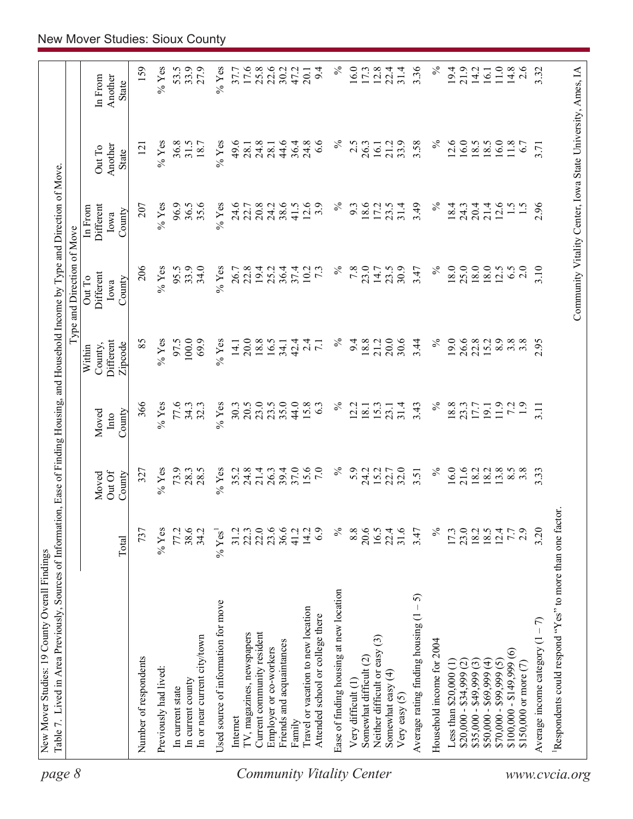| page 8                           | Table 7. Lived in Area Previously, Sources of Information, Ease of Finding Housing, and Household Income by Type and Direction of Move |                      |                           |                         |                                           | Type and Direction of Move                                 |                                        |                            |                             |
|----------------------------------|----------------------------------------------------------------------------------------------------------------------------------------|----------------------|---------------------------|-------------------------|-------------------------------------------|------------------------------------------------------------|----------------------------------------|----------------------------|-----------------------------|
|                                  |                                                                                                                                        | Total                | Out Of<br>County<br>Moved | County<br>Moved<br>Into | Different<br>Zipcode<br>County,<br>Within | Different<br>Out To<br>County<br>Iowa                      | Different<br>In From<br>County<br>Iowa | Another<br>Out To<br>State | Another<br>In From<br>State |
|                                  |                                                                                                                                        |                      |                           |                         |                                           |                                                            |                                        |                            |                             |
|                                  | Number of respondents                                                                                                                  | 737                  | 327                       | 366                     | 85                                        | 206                                                        | 207                                    | $\overline{121}$           | 159                         |
|                                  | Previously had lived:                                                                                                                  | $%$ Yes              | $%$ Yes                   | $\%$ Yes                | $%$ Yes                                   | $%$ Yes                                                    | $%$ Yes                                | $\%$ Yes                   | $\%$ Yes                    |
|                                  | In current state                                                                                                                       | 77.2                 | 73.9                      | 77.6                    | 97.5                                      | 95.5                                                       | 96.9                                   | 36.8                       | 53.5                        |
|                                  | In current county                                                                                                                      | 38.6                 | 28.3                      | 34.3                    | 100.0                                     | 33.9                                                       | 36.5                                   | 31.5                       | 33.9                        |
|                                  | In or near current city/town                                                                                                           | 34.2                 | 28.5                      | 32.3                    | 69.9                                      | 34.0                                                       | 35.6                                   | 18.7                       | 27.9                        |
|                                  | Used source of information for move                                                                                                    | $%$ Yes <sup>1</sup> | $%$ Yes                   | $\%$ Yes                | $\%$ Yes                                  | $%$ Yes                                                    | $%$ Yes                                | $%$ Yes                    | $\%$ Yes                    |
|                                  | Internet                                                                                                                               | 31.2                 | 35.2                      | 30.3                    | 14.1                                      | 26.7                                                       | 24.6                                   | 49.6                       | 37.7                        |
|                                  | TV, magazines, newspapers                                                                                                              | 22.3                 | 24.8                      | 20.5                    | 20.0                                      | 22.8                                                       | 22.7                                   | 28.1                       | 17.6                        |
|                                  | Current community resident                                                                                                             | 22.0                 | 21.4                      | 23.0                    | 18.8                                      | 19.4                                                       | 20.8                                   |                            | 25.8                        |
|                                  | Employer or co-workers                                                                                                                 | 23.6                 | 26.3                      | 23.5                    | 16.5                                      | 25.2                                                       | 24.2                                   | $24.8$<br>28.1             | 22.6                        |
|                                  | Friends and acquaintances                                                                                                              | 36.6                 | 39.4                      | 35.0                    | 34.1                                      | 36.4                                                       | 38.6                                   | 44.6                       | 30.2                        |
|                                  | Family                                                                                                                                 | 41.2                 | 37.0                      | 44.0                    | 42.4                                      | 37.4                                                       | 41.5                                   | 36.4                       | 47.2                        |
|                                  | Travel or vacation to new location                                                                                                     | 14.2                 | 15.6                      | 15.8                    | $\overline{24}$                           | 10.2                                                       | 12.6                                   | 24.8                       | 20.1                        |
|                                  | Attended school or college there                                                                                                       | 6.9                  | $7.0\,$                   | 6.3                     | $\overline{7.1}$                          | $7\overline{3}$                                            | 3.9                                    | 6.6                        | 9.4                         |
| <b>Community Vitality Center</b> | Ease of finding housing at new location                                                                                                | $\%$                 | $\%$                      | $\%$                    | $\%$                                      | $\%$                                                       | $\%$                                   | $\%$                       | $\%$                        |
|                                  | Very difficult (1)                                                                                                                     | 8.8                  | 5.9                       | 2.2                     | 9.4                                       | 7.8                                                        | 9.3                                    | 2.5                        | 16.0                        |
|                                  | Somewhat difficult (2)                                                                                                                 | 20.6                 | 24.2                      | 18.1                    | 18.8                                      | 23.0                                                       | 18.6                                   | 26.3                       | 17.3                        |
|                                  | Neither difficult or easy (3)                                                                                                          | 16.5                 | 15.2                      | 15.3                    | 21.2                                      | 14.7                                                       | 17.2                                   | 16.1                       | 12.8                        |
|                                  | Somewhat easy (4)<br>Very easy $(5)$                                                                                                   | 31.6<br>22.4         | 22.7<br>32.0              | 31.4<br>23.1            | 30.6<br>20.0                              | 30.9<br>23.5                                               | 31.4<br>23.5                           | 33.9<br>21.2               | 31.4<br>22.4                |
|                                  | 5<br>Average rating finding housing (1                                                                                                 | 3.47                 | 3.51                      | 3.43                    | 3.44                                      | 3.47                                                       | 3.49                                   | 3.58                       | 3.36                        |
|                                  | Household income for 2004                                                                                                              | $\%$                 | $\%$                      | $\%$                    | $\%$                                      | $\%$                                                       | $\%$                                   | $\%$                       | $\%$                        |
|                                  | Less than $$20,000$ $(1)$                                                                                                              | 17.3                 | 16.0                      | 18.8                    | 19.0                                      | 18.0                                                       | 18.4                                   | 12.6                       | 19.4                        |
|                                  | $$20,000 - $34,999$ (2)                                                                                                                | $\frac{23.0}{18.2}$  |                           | 23.3                    |                                           | 25.0                                                       | 24.3                                   | 16.0                       | 21.9                        |
|                                  | $$35,000 - $49,999(3)$                                                                                                                 |                      | 21.6<br>18.2              | 17.7                    | 26.6<br>22.8                              | 18.0                                                       | 20.4                                   | 18.5                       | 14.2                        |
|                                  | $$50,000 - $69,999 (4)$                                                                                                                |                      | 18.2                      | 19.1                    | 15.2                                      | 18.0                                                       | 21.4                                   | 18.5                       | 16.1                        |
|                                  | $$70,000 - $99,999(5)$                                                                                                                 | 12.4                 | 3.8                       | 11.9                    | 8.9                                       | 12.5                                                       | 12.6                                   | 16.0                       | $11.0\,$                    |
|                                  | $$100,000 - $149,999(6)$                                                                                                               | 7.7                  | $8.\overline{5}$          | 72                      | 3.8                                       | 6.5                                                        | $\frac{5}{1}$                          | $11.8$                     | 14.8                        |
|                                  | \$150,000 or more $(7)$                                                                                                                | 2.9                  | $3.\overline{8}$          | $\ddot{1}$ .            | 3.8                                       | 2.0                                                        |                                        | 6.7                        | 2.6                         |
|                                  | Average income category $(1 - 7)$                                                                                                      | 3.20                 | 3.33                      | 3.11                    | 2.95                                      | 3.10                                                       | 2.96                                   | 3.71                       | 3.32                        |
| www.cvcia.org                    | Respondents could respond "Yes" to more than one factor.                                                                               |                      |                           |                         |                                           |                                                            |                                        |                            |                             |
|                                  |                                                                                                                                        |                      |                           |                         |                                           | Community Vitality Center, Iowa State University, Ames, IA |                                        |                            |                             |
|                                  |                                                                                                                                        |                      |                           |                         |                                           |                                                            |                                        |                            |                             |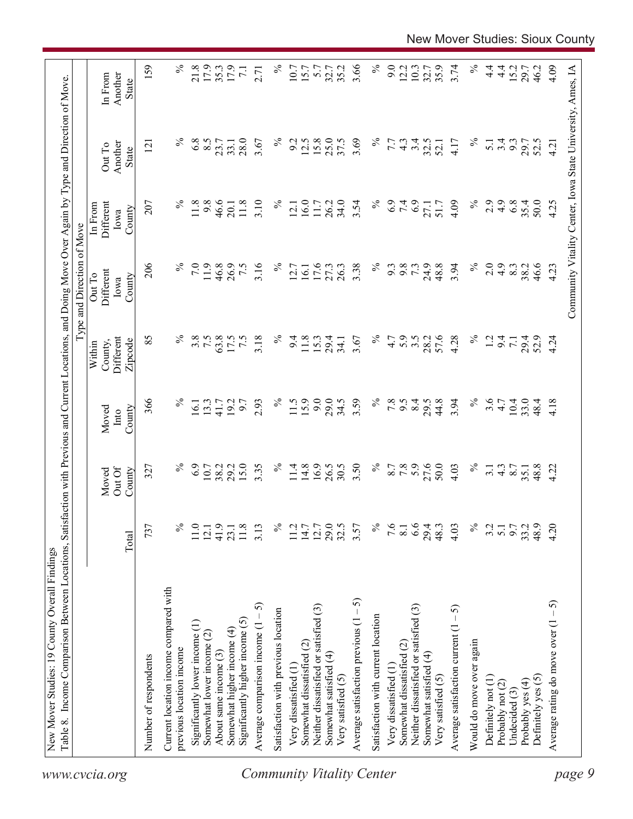| $\%$<br>4.9<br>35.4<br>207<br>$\%$<br>9.8<br>46.6<br>11.8<br>3.10<br>$\%$<br>16.0<br>26.2<br>34.0<br>$\%$<br>6.9<br>7.4<br>4.09<br>2.9<br>6.8<br>50.0<br>Different<br>11.8<br>11.7<br>3.54<br>27.1<br>51.7<br>12.1<br>20.1<br>In From<br>County<br>Iowa<br>206<br>24.9<br>48.8<br>3.94<br>$\%$<br>7.0<br>11.9<br>46.8<br>26.9<br>7.5<br>3.16<br>$\%$<br>16.1<br>17.6<br>$\%$<br>9.8<br>2.0<br>4.9<br>46.6<br>27.3<br>26.3<br>3.38<br>9.3<br>73<br>8.3<br>38.2<br>12.7<br>Different<br>Out To<br>County<br>Iowa<br>85<br>℅<br>$\%$<br>57.6<br>$\%$<br>3.8<br>7.5<br>63.8<br>7.5<br>3.18<br>$\%$<br>28.2<br>4.28<br>17.5<br>11.8<br>15.3<br>4.7<br>5.9<br>$3.\overline{5}$<br>$\overline{12}$<br>Different<br>9.4<br>29.4<br>3.67<br>9.4<br>29.4<br>52.9<br>$\overline{7.1}$<br>34.1<br>County,<br>Zipcode<br>Within<br>9.0<br>366<br>$\%$<br>$\%$<br>15.9<br>29.0<br>3.59<br>$\%$<br>$7.8$<br>8.4<br>44.8<br>3.94<br>$\%$<br>3.6<br>4.7<br>10.4<br>13.3<br>19.2<br>9.7<br>2.93<br>11.5<br>34.5<br>9.5<br>29.5<br>33.0<br>48.4<br>16.1<br>41.7<br>County<br>Moved<br>$\mathbf{Int} \mathbf{O}$<br>16.9<br>$\%$<br>27.6<br>$\%$<br>6.9<br>15.0<br>3.35<br>$\%$<br>3.50<br>5.9<br>50.0<br>$\%$<br>10.7<br>38.2<br>29.2<br>11.4<br>14.8<br>26.5<br>30.5<br>8.7<br>7.8<br>4.03<br>48.8<br>327<br>$4.\overline{3}$<br>8.7<br>$\overline{3}$ .<br>35.1<br>Out Of<br>Moved<br>County<br>29.5<br>$\%$<br>6.6<br>$\%$<br>737<br>$\%$<br>41.9<br>11.8<br>$\%$<br>12.7<br>7.6<br>29.4<br>9.7<br>33.2<br>48.9<br>11.0<br>3.13<br>11.2<br>14.7<br>3.57<br>8.1<br>48.3<br>4.03<br>3.2<br>5.1<br>12.1<br>23.1<br>Total<br>Current location income compared with<br>Average satisfaction previous $(1 - 5)$<br>Average comparison income $(1 - 5)$<br>Neither dissatisfied or satisfied (3)<br>Neither dissatisfied or satisfied (3)<br>Average satisfaction current $(1 - 5)$<br>Satisfaction with previous location<br>Satisfaction with current location<br>Significantly higher income $(5)$<br>Significantly lower income (1)<br>Somewhat higher income (4)<br>Somewhat lower income (2)<br>Would do move over again<br>Somewhat dissatisfied (2)<br>Somewhat dissatisfied (2)<br>previous location income<br>About same income (3)<br>Somewhat satisfied (4)<br>Somewhat satisfied (4)<br>Number of respondents<br>Very dissatisfied (1<br>Very dissatisfied (1<br>Very satisfied (5)<br>Very satisfied (5)<br>Definitely yes (5)<br>Definitely not (1)<br>Probably yes (4)<br>Probably not (2)<br>Undecided $(3)$ |  |  | Type and Direction of Move |                                   |                                    |
|--------------------------------------------------------------------------------------------------------------------------------------------------------------------------------------------------------------------------------------------------------------------------------------------------------------------------------------------------------------------------------------------------------------------------------------------------------------------------------------------------------------------------------------------------------------------------------------------------------------------------------------------------------------------------------------------------------------------------------------------------------------------------------------------------------------------------------------------------------------------------------------------------------------------------------------------------------------------------------------------------------------------------------------------------------------------------------------------------------------------------------------------------------------------------------------------------------------------------------------------------------------------------------------------------------------------------------------------------------------------------------------------------------------------------------------------------------------------------------------------------------------------------------------------------------------------------------------------------------------------------------------------------------------------------------------------------------------------------------------------------------------------------------------------------------------------------------------------------------------------------------------------------------------------------------------------------------------------------------------------------------------------------------------------------------------------------------------------------------------------------------------------------------------------------------------------------------------------------------------------------------------------------------------------------------------------------------------------------------------------------------------------------------------------------------------------------------------------------------------------------------|--|--|----------------------------|-----------------------------------|------------------------------------|
|                                                                                                                                                                                                                                                                                                                                                                                                                                                                                                                                                                                                                                                                                                                                                                                                                                                                                                                                                                                                                                                                                                                                                                                                                                                                                                                                                                                                                                                                                                                                                                                                                                                                                                                                                                                                                                                                                                                                                                                                                                                                                                                                                                                                                                                                                                                                                                                                                                                                                                        |  |  |                            | Another<br>Out To<br><b>State</b> | Another<br>In From<br><b>State</b> |
|                                                                                                                                                                                                                                                                                                                                                                                                                                                                                                                                                                                                                                                                                                                                                                                                                                                                                                                                                                                                                                                                                                                                                                                                                                                                                                                                                                                                                                                                                                                                                                                                                                                                                                                                                                                                                                                                                                                                                                                                                                                                                                                                                                                                                                                                                                                                                                                                                                                                                                        |  |  |                            | 121                               | 159                                |
|                                                                                                                                                                                                                                                                                                                                                                                                                                                                                                                                                                                                                                                                                                                                                                                                                                                                                                                                                                                                                                                                                                                                                                                                                                                                                                                                                                                                                                                                                                                                                                                                                                                                                                                                                                                                                                                                                                                                                                                                                                                                                                                                                                                                                                                                                                                                                                                                                                                                                                        |  |  |                            |                                   |                                    |
|                                                                                                                                                                                                                                                                                                                                                                                                                                                                                                                                                                                                                                                                                                                                                                                                                                                                                                                                                                                                                                                                                                                                                                                                                                                                                                                                                                                                                                                                                                                                                                                                                                                                                                                                                                                                                                                                                                                                                                                                                                                                                                                                                                                                                                                                                                                                                                                                                                                                                                        |  |  |                            | $\%$                              | $\%$                               |
| <b>Community Vitality Center</b>                                                                                                                                                                                                                                                                                                                                                                                                                                                                                                                                                                                                                                                                                                                                                                                                                                                                                                                                                                                                                                                                                                                                                                                                                                                                                                                                                                                                                                                                                                                                                                                                                                                                                                                                                                                                                                                                                                                                                                                                                                                                                                                                                                                                                                                                                                                                                                                                                                                                       |  |  |                            | 6.8                               | 21.8                               |
|                                                                                                                                                                                                                                                                                                                                                                                                                                                                                                                                                                                                                                                                                                                                                                                                                                                                                                                                                                                                                                                                                                                                                                                                                                                                                                                                                                                                                                                                                                                                                                                                                                                                                                                                                                                                                                                                                                                                                                                                                                                                                                                                                                                                                                                                                                                                                                                                                                                                                                        |  |  |                            | 8.5                               | 17.9                               |
|                                                                                                                                                                                                                                                                                                                                                                                                                                                                                                                                                                                                                                                                                                                                                                                                                                                                                                                                                                                                                                                                                                                                                                                                                                                                                                                                                                                                                                                                                                                                                                                                                                                                                                                                                                                                                                                                                                                                                                                                                                                                                                                                                                                                                                                                                                                                                                                                                                                                                                        |  |  |                            | 23.7                              | 35.3                               |
|                                                                                                                                                                                                                                                                                                                                                                                                                                                                                                                                                                                                                                                                                                                                                                                                                                                                                                                                                                                                                                                                                                                                                                                                                                                                                                                                                                                                                                                                                                                                                                                                                                                                                                                                                                                                                                                                                                                                                                                                                                                                                                                                                                                                                                                                                                                                                                                                                                                                                                        |  |  |                            | 33.1                              | 17.9                               |
|                                                                                                                                                                                                                                                                                                                                                                                                                                                                                                                                                                                                                                                                                                                                                                                                                                                                                                                                                                                                                                                                                                                                                                                                                                                                                                                                                                                                                                                                                                                                                                                                                                                                                                                                                                                                                                                                                                                                                                                                                                                                                                                                                                                                                                                                                                                                                                                                                                                                                                        |  |  |                            | 28.0                              | $\overline{7.1}$                   |
|                                                                                                                                                                                                                                                                                                                                                                                                                                                                                                                                                                                                                                                                                                                                                                                                                                                                                                                                                                                                                                                                                                                                                                                                                                                                                                                                                                                                                                                                                                                                                                                                                                                                                                                                                                                                                                                                                                                                                                                                                                                                                                                                                                                                                                                                                                                                                                                                                                                                                                        |  |  |                            | 3.67                              | 2.71                               |
|                                                                                                                                                                                                                                                                                                                                                                                                                                                                                                                                                                                                                                                                                                                                                                                                                                                                                                                                                                                                                                                                                                                                                                                                                                                                                                                                                                                                                                                                                                                                                                                                                                                                                                                                                                                                                                                                                                                                                                                                                                                                                                                                                                                                                                                                                                                                                                                                                                                                                                        |  |  |                            | $\%$                              | $\%$                               |
|                                                                                                                                                                                                                                                                                                                                                                                                                                                                                                                                                                                                                                                                                                                                                                                                                                                                                                                                                                                                                                                                                                                                                                                                                                                                                                                                                                                                                                                                                                                                                                                                                                                                                                                                                                                                                                                                                                                                                                                                                                                                                                                                                                                                                                                                                                                                                                                                                                                                                                        |  |  |                            | 9.2                               | 10.7                               |
|                                                                                                                                                                                                                                                                                                                                                                                                                                                                                                                                                                                                                                                                                                                                                                                                                                                                                                                                                                                                                                                                                                                                                                                                                                                                                                                                                                                                                                                                                                                                                                                                                                                                                                                                                                                                                                                                                                                                                                                                                                                                                                                                                                                                                                                                                                                                                                                                                                                                                                        |  |  |                            | 12.5                              | 15.7                               |
|                                                                                                                                                                                                                                                                                                                                                                                                                                                                                                                                                                                                                                                                                                                                                                                                                                                                                                                                                                                                                                                                                                                                                                                                                                                                                                                                                                                                                                                                                                                                                                                                                                                                                                                                                                                                                                                                                                                                                                                                                                                                                                                                                                                                                                                                                                                                                                                                                                                                                                        |  |  |                            | 15.8                              | 5.7                                |
|                                                                                                                                                                                                                                                                                                                                                                                                                                                                                                                                                                                                                                                                                                                                                                                                                                                                                                                                                                                                                                                                                                                                                                                                                                                                                                                                                                                                                                                                                                                                                                                                                                                                                                                                                                                                                                                                                                                                                                                                                                                                                                                                                                                                                                                                                                                                                                                                                                                                                                        |  |  |                            | 25.0                              | 32.7                               |
|                                                                                                                                                                                                                                                                                                                                                                                                                                                                                                                                                                                                                                                                                                                                                                                                                                                                                                                                                                                                                                                                                                                                                                                                                                                                                                                                                                                                                                                                                                                                                                                                                                                                                                                                                                                                                                                                                                                                                                                                                                                                                                                                                                                                                                                                                                                                                                                                                                                                                                        |  |  |                            | 37.5                              | 35.2                               |
|                                                                                                                                                                                                                                                                                                                                                                                                                                                                                                                                                                                                                                                                                                                                                                                                                                                                                                                                                                                                                                                                                                                                                                                                                                                                                                                                                                                                                                                                                                                                                                                                                                                                                                                                                                                                                                                                                                                                                                                                                                                                                                                                                                                                                                                                                                                                                                                                                                                                                                        |  |  |                            | 3.69                              | 3.66                               |
|                                                                                                                                                                                                                                                                                                                                                                                                                                                                                                                                                                                                                                                                                                                                                                                                                                                                                                                                                                                                                                                                                                                                                                                                                                                                                                                                                                                                                                                                                                                                                                                                                                                                                                                                                                                                                                                                                                                                                                                                                                                                                                                                                                                                                                                                                                                                                                                                                                                                                                        |  |  |                            | $\%$                              | $\%$                               |
|                                                                                                                                                                                                                                                                                                                                                                                                                                                                                                                                                                                                                                                                                                                                                                                                                                                                                                                                                                                                                                                                                                                                                                                                                                                                                                                                                                                                                                                                                                                                                                                                                                                                                                                                                                                                                                                                                                                                                                                                                                                                                                                                                                                                                                                                                                                                                                                                                                                                                                        |  |  |                            | 7.7                               | 9.0                                |
|                                                                                                                                                                                                                                                                                                                                                                                                                                                                                                                                                                                                                                                                                                                                                                                                                                                                                                                                                                                                                                                                                                                                                                                                                                                                                                                                                                                                                                                                                                                                                                                                                                                                                                                                                                                                                                                                                                                                                                                                                                                                                                                                                                                                                                                                                                                                                                                                                                                                                                        |  |  |                            | $4.\overline{3}$                  | 12.2                               |
|                                                                                                                                                                                                                                                                                                                                                                                                                                                                                                                                                                                                                                                                                                                                                                                                                                                                                                                                                                                                                                                                                                                                                                                                                                                                                                                                                                                                                                                                                                                                                                                                                                                                                                                                                                                                                                                                                                                                                                                                                                                                                                                                                                                                                                                                                                                                                                                                                                                                                                        |  |  |                            | 3.4                               | 10.3                               |
|                                                                                                                                                                                                                                                                                                                                                                                                                                                                                                                                                                                                                                                                                                                                                                                                                                                                                                                                                                                                                                                                                                                                                                                                                                                                                                                                                                                                                                                                                                                                                                                                                                                                                                                                                                                                                                                                                                                                                                                                                                                                                                                                                                                                                                                                                                                                                                                                                                                                                                        |  |  |                            | 32.5                              | 32.7                               |
|                                                                                                                                                                                                                                                                                                                                                                                                                                                                                                                                                                                                                                                                                                                                                                                                                                                                                                                                                                                                                                                                                                                                                                                                                                                                                                                                                                                                                                                                                                                                                                                                                                                                                                                                                                                                                                                                                                                                                                                                                                                                                                                                                                                                                                                                                                                                                                                                                                                                                                        |  |  |                            | 52.1                              | 35.9                               |
|                                                                                                                                                                                                                                                                                                                                                                                                                                                                                                                                                                                                                                                                                                                                                                                                                                                                                                                                                                                                                                                                                                                                                                                                                                                                                                                                                                                                                                                                                                                                                                                                                                                                                                                                                                                                                                                                                                                                                                                                                                                                                                                                                                                                                                                                                                                                                                                                                                                                                                        |  |  |                            | 4.17                              | 3.74                               |
|                                                                                                                                                                                                                                                                                                                                                                                                                                                                                                                                                                                                                                                                                                                                                                                                                                                                                                                                                                                                                                                                                                                                                                                                                                                                                                                                                                                                                                                                                                                                                                                                                                                                                                                                                                                                                                                                                                                                                                                                                                                                                                                                                                                                                                                                                                                                                                                                                                                                                                        |  |  |                            | $\%$                              | $\%$                               |
|                                                                                                                                                                                                                                                                                                                                                                                                                                                                                                                                                                                                                                                                                                                                                                                                                                                                                                                                                                                                                                                                                                                                                                                                                                                                                                                                                                                                                                                                                                                                                                                                                                                                                                                                                                                                                                                                                                                                                                                                                                                                                                                                                                                                                                                                                                                                                                                                                                                                                                        |  |  |                            | $\overline{5.1}$                  | $\frac{4}{4}$                      |
|                                                                                                                                                                                                                                                                                                                                                                                                                                                                                                                                                                                                                                                                                                                                                                                                                                                                                                                                                                                                                                                                                                                                                                                                                                                                                                                                                                                                                                                                                                                                                                                                                                                                                                                                                                                                                                                                                                                                                                                                                                                                                                                                                                                                                                                                                                                                                                                                                                                                                                        |  |  |                            | 3.4                               | $4\cdot$                           |
|                                                                                                                                                                                                                                                                                                                                                                                                                                                                                                                                                                                                                                                                                                                                                                                                                                                                                                                                                                                                                                                                                                                                                                                                                                                                                                                                                                                                                                                                                                                                                                                                                                                                                                                                                                                                                                                                                                                                                                                                                                                                                                                                                                                                                                                                                                                                                                                                                                                                                                        |  |  |                            | 9.3                               | 15.2                               |
|                                                                                                                                                                                                                                                                                                                                                                                                                                                                                                                                                                                                                                                                                                                                                                                                                                                                                                                                                                                                                                                                                                                                                                                                                                                                                                                                                                                                                                                                                                                                                                                                                                                                                                                                                                                                                                                                                                                                                                                                                                                                                                                                                                                                                                                                                                                                                                                                                                                                                                        |  |  |                            | 29.7                              | 29.7                               |
|                                                                                                                                                                                                                                                                                                                                                                                                                                                                                                                                                                                                                                                                                                                                                                                                                                                                                                                                                                                                                                                                                                                                                                                                                                                                                                                                                                                                                                                                                                                                                                                                                                                                                                                                                                                                                                                                                                                                                                                                                                                                                                                                                                                                                                                                                                                                                                                                                                                                                                        |  |  |                            | 52.5                              | 46.2                               |
| 4.25<br>4.23<br>4.24<br>4.18<br>4.22<br>4.20<br>$-5$<br>Average rating do move over (1                                                                                                                                                                                                                                                                                                                                                                                                                                                                                                                                                                                                                                                                                                                                                                                                                                                                                                                                                                                                                                                                                                                                                                                                                                                                                                                                                                                                                                                                                                                                                                                                                                                                                                                                                                                                                                                                                                                                                                                                                                                                                                                                                                                                                                                                                                                                                                                                                 |  |  |                            | 4.21                              | 4.09                               |
| Community Vitality Center, Iowa State University, Ames, IA<br>page 9                                                                                                                                                                                                                                                                                                                                                                                                                                                                                                                                                                                                                                                                                                                                                                                                                                                                                                                                                                                                                                                                                                                                                                                                                                                                                                                                                                                                                                                                                                                                                                                                                                                                                                                                                                                                                                                                                                                                                                                                                                                                                                                                                                                                                                                                                                                                                                                                                                   |  |  |                            |                                   |                                    |